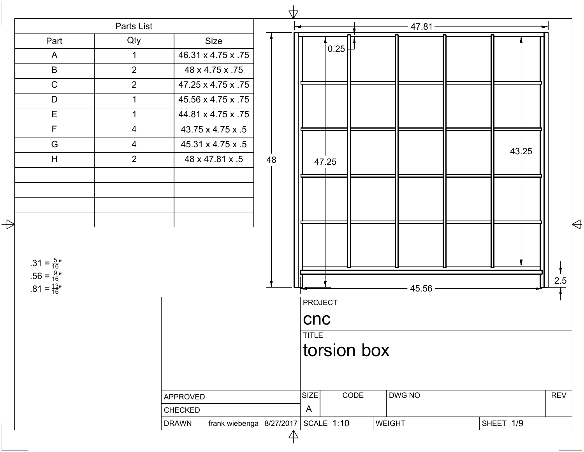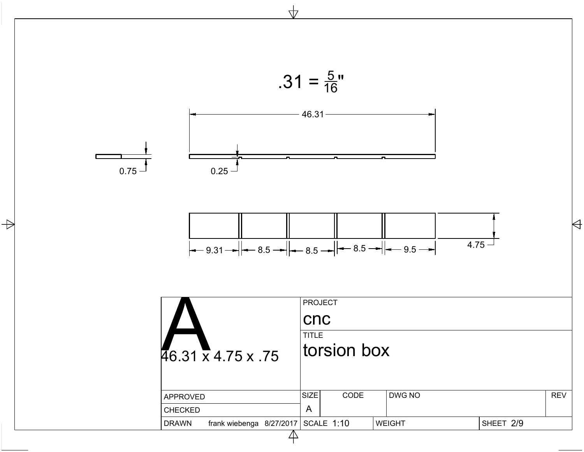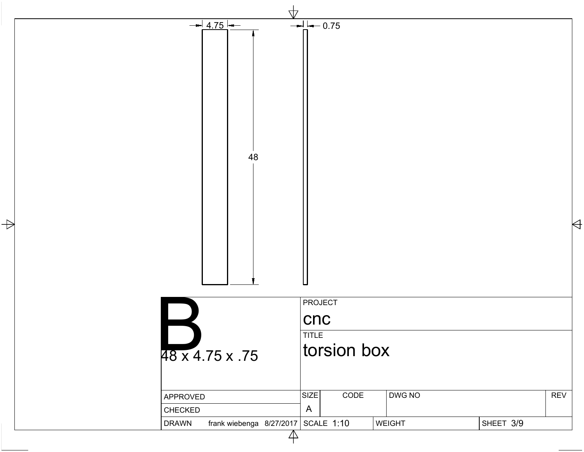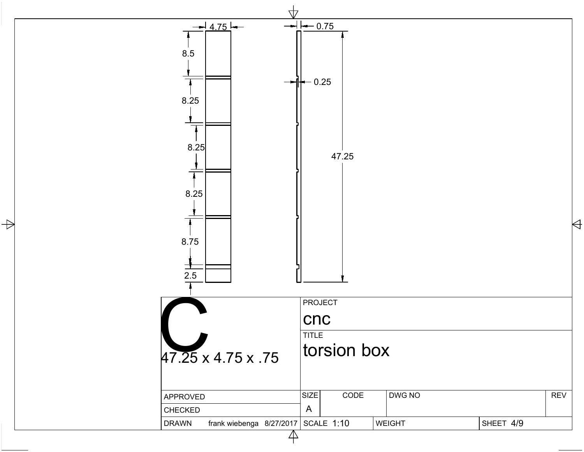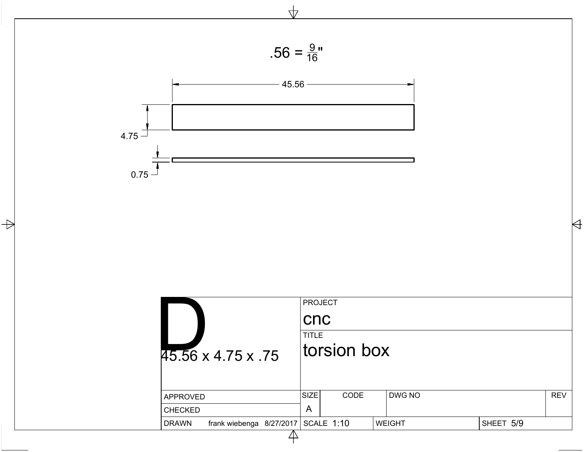

 $\frac{1}{\sqrt{2}}$ 



 $\Rightarrow$ 

| 45.56 x 4.75 x 75                                     | <b>PROJECT</b><br><b>CNC</b><br><b>TITLE</b><br>torsion box |      |               |           |            |  |  |  |  |
|-------------------------------------------------------|-------------------------------------------------------------|------|---------------|-----------|------------|--|--|--|--|
| <b>APPROVED</b>                                       | <b>SIZE</b>                                                 | CODE | DWG NO        |           | <b>REV</b> |  |  |  |  |
| <b>CHECKED</b>                                        | A                                                           |      |               |           |            |  |  |  |  |
| frank wiebenga 8/27/2017   SCALE 1:10<br><b>DRAWN</b> |                                                             |      | <b>WEIGHT</b> | SHEET 5/9 |            |  |  |  |  |
|                                                       |                                                             |      |               |           |            |  |  |  |  |

 $\forall$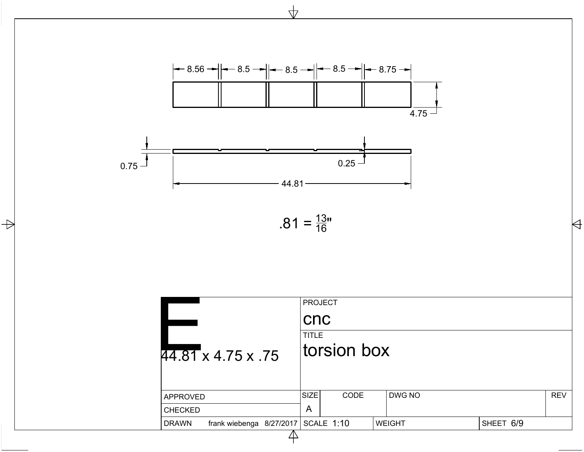

 $\Rightarrow$ 

 $\overline{\mathbf{r}}$ 

$$
.81 = \frac{13}{16}
$$

|                                                | <b>PROJECT</b><br>$ {\sf Cnc} $<br>TITLE |               |           |            |  |  |
|------------------------------------------------|------------------------------------------|---------------|-----------|------------|--|--|
| 44.81 x 4.75 x .75                             | torsion box                              |               |           |            |  |  |
| APPROVED                                       | SIZE <br>CODE                            | DWG NO        |           | <b>REV</b> |  |  |
| <b>CHECKED</b>                                 | $\overline{A}$                           |               |           |            |  |  |
| frank wiebenga $8/27/2017$ SCALE 1:10<br>DRAWN |                                          | <b>WEIGHT</b> | SHEET 6/9 |            |  |  |
|                                                |                                          |               |           |            |  |  |

 $\forall$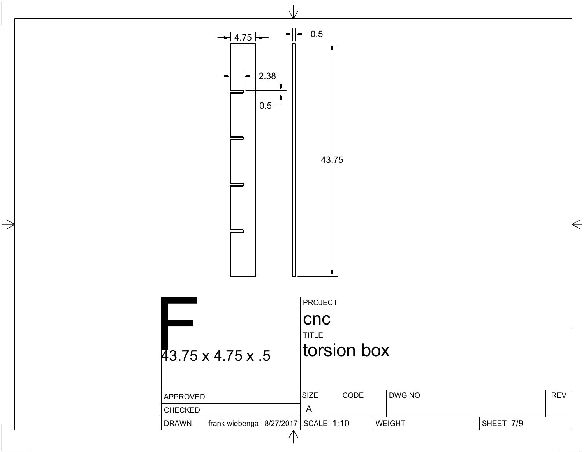

 $\Rightarrow$ 

|                                            | <b>PROJECT</b>              |               |           |            |  |  |  |  |  |
|--------------------------------------------|-----------------------------|---------------|-----------|------------|--|--|--|--|--|
|                                            | <b>CNC</b>                  |               |           |            |  |  |  |  |  |
| $\overline{43.75 \times 4.75 \times .5}$   | <b>TITLE</b><br>torsion box |               |           |            |  |  |  |  |  |
| APPROVED                                   | <b>SIZE</b><br><b>CODE</b>  | DWG NO        |           | <b>REV</b> |  |  |  |  |  |
| <b>CHECKED</b>                             | A                           |               |           |            |  |  |  |  |  |
| frank wiebenga $8/27/2017$<br><b>DRAWN</b> | SCALE 1:10                  | <b>WEIGHT</b> | SHEET 7/9 |            |  |  |  |  |  |
|                                            |                             |               |           |            |  |  |  |  |  |

 $\forall$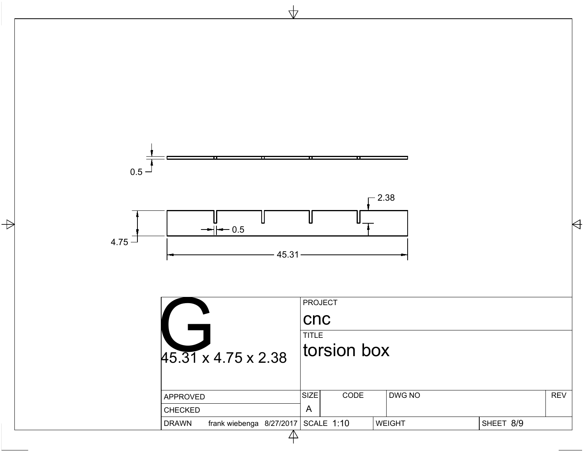